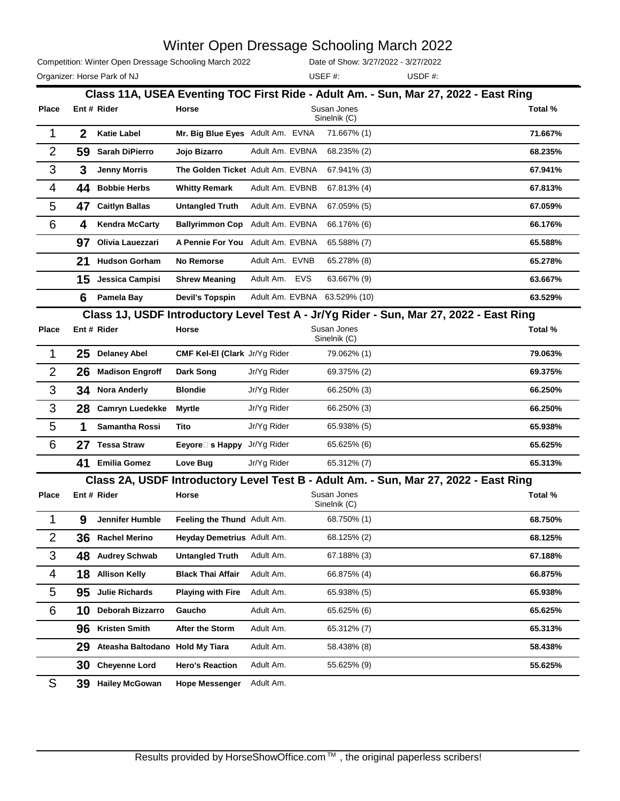|                | Competition: Winter Open Dressage Schooling March 2022 |                                                                                        |                                                 |                 |            | Date of Show: 3/27/2022 - 3/27/2022 |  |        |  |  |         |
|----------------|--------------------------------------------------------|----------------------------------------------------------------------------------------|-------------------------------------------------|-----------------|------------|-------------------------------------|--|--------|--|--|---------|
|                |                                                        | Organizer: Horse Park of NJ                                                            |                                                 |                 |            | USEF#:                              |  | USDF#: |  |  |         |
|                |                                                        | Class 11A, USEA Eventing TOC First Ride - Adult Am. - Sun, Mar 27, 2022 - East Ring    |                                                 |                 |            |                                     |  |        |  |  |         |
| Place          |                                                        | Ent # Rider                                                                            | Horse                                           |                 |            | Susan Jones<br>Sinelnik (C)         |  |        |  |  | Total % |
| 1              | $\mathbf{2}$                                           | <b>Katie Label</b>                                                                     | Mr. Big Blue Eyes Adult Am. EVNA                |                 |            | 71.667% (1)                         |  |        |  |  | 71.667% |
| $\overline{2}$ | 59                                                     | Sarah DiPierro                                                                         | Jojo Bizarro                                    | Adult Am. EVBNA |            | 68.235% (2)                         |  |        |  |  | 68.235% |
| 3              | 3                                                      | <b>Jenny Morris</b>                                                                    | The Golden Ticket Adult Am. EVBNA               |                 |            | 67.941% (3)                         |  |        |  |  | 67.941% |
| 4              | 44                                                     | <b>Bobbie Herbs</b>                                                                    | <b>Whitty Remark</b>                            | Adult Am. EVBNB |            | 67.813% (4)                         |  |        |  |  | 67.813% |
| 5              | 47                                                     | <b>Caitlyn Ballas</b>                                                                  | <b>Untangled Truth</b>                          | Adult Am. EVBNA |            | 67.059% (5)                         |  |        |  |  | 67.059% |
| 6              | 4                                                      | <b>Kendra McCarty</b>                                                                  | <b>Ballyrimmon Cop</b>                          | Adult Am. EVBNA |            | 66.176% (6)                         |  |        |  |  | 66.176% |
|                | 97                                                     | Olivia Lauezzari                                                                       | A Pennie For You                                | Adult Am. EVBNA |            | 65.588% (7)                         |  |        |  |  | 65.588% |
|                | 21                                                     | <b>Hudson Gorham</b>                                                                   | <b>No Remorse</b>                               | Adult Am. EVNB  |            | 65.278% (8)                         |  |        |  |  | 65.278% |
|                | 15                                                     | Jessica Campisi                                                                        | <b>Shrew Meaning</b>                            | Adult Am.       | <b>EVS</b> | 63.667% (9)                         |  |        |  |  | 63.667% |
|                | 6                                                      | Pamela Bay                                                                             | <b>Devil's Topspin</b>                          |                 |            | Adult Am. EVBNA 63.529% (10)        |  |        |  |  | 63.529% |
|                |                                                        | Class 1J, USDF Introductory Level Test A - Jr/Yg Rider - Sun, Mar 27, 2022 - East Ring |                                                 |                 |            |                                     |  |        |  |  |         |
| Place          |                                                        | Ent # Rider                                                                            | Horse                                           |                 |            | Susan Jones<br>Sinelnik (C)         |  |        |  |  | Total % |
| 1              | 25                                                     | <b>Delaney Abel</b>                                                                    | CMF Kel-El (Clark Jr/Yg Rider                   |                 |            | 79.062% (1)                         |  |        |  |  | 79.063% |
| $\overline{2}$ | 26                                                     | <b>Madison Engroff</b>                                                                 | Dark Song                                       | Jr/Yg Rider     |            | 69.375% (2)                         |  |        |  |  | 69.375% |
| 3              | 34                                                     | <b>Nora Anderly</b>                                                                    | <b>Blondie</b>                                  | Jr/Yg Rider     |            | 66.250% (3)                         |  |        |  |  | 66.250% |
| 3              | 28                                                     | <b>Camryn Luedekke</b>                                                                 | <b>Myrtle</b>                                   | Jr/Yg Rider     |            | 66.250% (3)                         |  |        |  |  | 66.250% |
| 5              | 1                                                      | Samantha Rossi                                                                         | Tito                                            | Jr/Yg Rider     |            | 65.938% (5)                         |  |        |  |  | 65.938% |
| 6              | 27                                                     | <b>Tessa Straw</b>                                                                     | <b>Eeyore</b> $\Box$ <b>s Happy</b> Jr/Yg Rider |                 |            | 65.625% (6)                         |  |        |  |  | 65.625% |
|                | 41                                                     | <b>Emilia Gomez</b>                                                                    | Love Bug                                        | Jr/Yg Rider     |            | 65.312% (7)                         |  |        |  |  | 65.313% |
|                |                                                        | Class 2A, USDF Introductory Level Test B - Adult Am. - Sun, Mar 27, 2022 - East Ring   |                                                 |                 |            |                                     |  |        |  |  |         |
| <b>Place</b>   |                                                        | Ent # Rider                                                                            | Horse                                           |                 |            | Susan Jones<br>Sinelnik (C)         |  |        |  |  | Total % |
| 1              | 9                                                      | Jennifer Humble                                                                        | Feeling the Thund Adult Am.                     |                 |            | 68.750% (1)                         |  |        |  |  | 68.750% |
| 2              | 36                                                     | <b>Rachel Merino</b>                                                                   | Heyday Demetrius Adult Am.                      |                 |            | 68.125% (2)                         |  |        |  |  | 68.125% |
| 3              | 48                                                     | <b>Audrey Schwab</b>                                                                   | <b>Untangled Truth</b>                          | Adult Am.       |            | 67.188% (3)                         |  |        |  |  | 67.188% |
| 4              | 18                                                     | <b>Allison Kelly</b>                                                                   | <b>Black Thai Affair</b>                        | Adult Am.       |            | 66.875% (4)                         |  |        |  |  | 66.875% |
| 5              | 95                                                     | <b>Julie Richards</b>                                                                  | <b>Playing with Fire</b>                        | Adult Am.       |            | 65.938% (5)                         |  |        |  |  | 65.938% |
| 6              | 10                                                     | Deborah Bizzarro                                                                       | Gaucho                                          | Adult Am.       |            | 65.625% (6)                         |  |        |  |  | 65.625% |
|                | 96                                                     | <b>Kristen Smith</b>                                                                   | After the Storm                                 | Adult Am.       |            | 65.312% (7)                         |  |        |  |  | 65.313% |
|                | 29                                                     | Ateasha Baltodano Hold My Tiara                                                        |                                                 | Adult Am.       |            | 58.438% (8)                         |  |        |  |  | 58.438% |
|                | 30                                                     | <b>Cheyenne Lord</b>                                                                   | <b>Hero's Reaction</b>                          | Adult Am.       |            | 55.625% (9)                         |  |        |  |  | 55.625% |
|                |                                                        |                                                                                        |                                                 |                 |            |                                     |  |        |  |  |         |

S **39 Hailey McGowan Hope Messenger** Adult Am.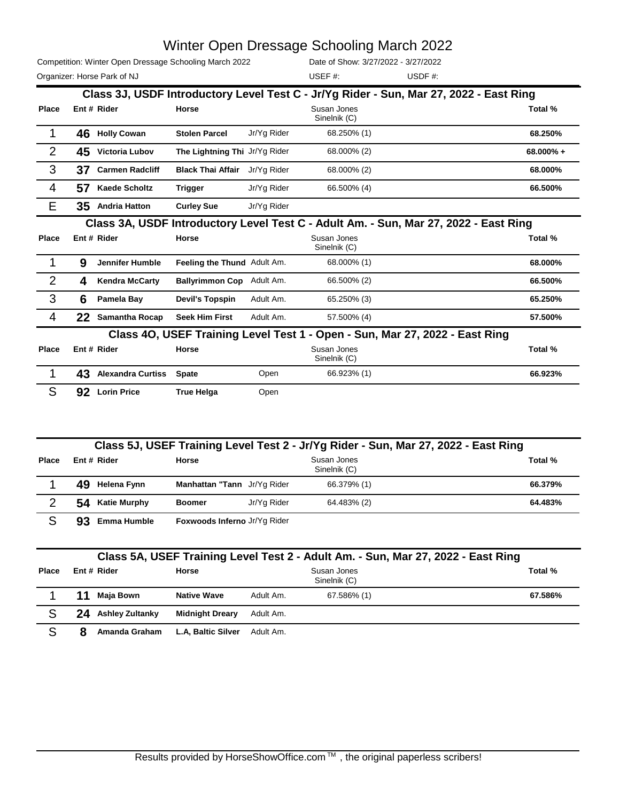|                | Competition: Winter Open Dressage Schooling March 2022<br>Organizer: Horse Park of NJ |                          |                                             |             | Date of Show: 3/27/2022 - 3/27/2022<br>USEF#: | USDF $#$ :                                                                             |          |
|----------------|---------------------------------------------------------------------------------------|--------------------------|---------------------------------------------|-------------|-----------------------------------------------|----------------------------------------------------------------------------------------|----------|
|                |                                                                                       |                          |                                             |             |                                               | Class 3J, USDF Introductory Level Test C - Jr/Yg Rider - Sun, Mar 27, 2022 - East Ring |          |
| Place          |                                                                                       | Ent # Rider              | Horse                                       |             | Susan Jones<br>Sinelnik (C)                   |                                                                                        | Total %  |
|                |                                                                                       | 46 Holly Cowan           | <b>Stolen Parcel</b>                        | Jr/Yg Rider | 68.250% (1)                                   |                                                                                        | 68.250%  |
| 2              | 45                                                                                    | Victoria Lubov           | The Lightning Thi Jr/Yg Rider               |             | 68.000% (2)                                   |                                                                                        | 68.000%+ |
| 3              | 37                                                                                    | <b>Carmen Radcliff</b>   | <b>Black Thai Affair</b>                    | Jr/Yg Rider | 68.000% (2)                                   |                                                                                        | 68.000%  |
| 4              | 57                                                                                    | <b>Kaede Scholtz</b>     | <b>Trigger</b>                              | Jr/Yg Rider | 66.500% (4)                                   |                                                                                        | 66.500%  |
| E              |                                                                                       | 35 Andria Hatton         | <b>Curley Sue</b>                           | Jr/Yg Rider |                                               |                                                                                        |          |
|                |                                                                                       |                          |                                             |             |                                               | Class 3A, USDF Introductory Level Test C - Adult Am. - Sun, Mar 27, 2022 - East Ring   |          |
| Place          |                                                                                       | Ent # Rider              | Horse                                       |             | Susan Jones<br>Sinelnik (C)                   |                                                                                        | Total %  |
|                | 9                                                                                     | <b>Jennifer Humble</b>   | Feeling the Thund Adult Am.                 |             | 68.000% (1)                                   |                                                                                        | 68.000%  |
| $\overline{2}$ | 4                                                                                     | <b>Kendra McCarty</b>    | Ballyrimmon Cop Adult Am.                   |             | 66.500% (2)                                   |                                                                                        | 66.500%  |
| 3              | 6                                                                                     | Pamela Bay               | <b>Devil's Topspin</b>                      | Adult Am.   | 65.250% (3)                                   |                                                                                        | 65.250%  |
| 4              | 22.                                                                                   | <b>Samantha Rocap</b>    | <b>Seek Him First</b>                       | Adult Am.   | 57.500% (4)                                   |                                                                                        | 57.500%  |
|                |                                                                                       |                          | <b>Class 40, USEF Training Level Test 1</b> |             |                                               | - Open - Sun, Mar 27, 2022 - East Ring                                                 |          |
| Place          |                                                                                       | Ent # Rider              | Horse                                       |             | Susan Jones<br>Sinelnik (C)                   |                                                                                        | Total %  |
|                | 43                                                                                    | <b>Alexandra Curtiss</b> | <b>Spate</b>                                | Open        | 66.923% (1)                                   |                                                                                        | 66.923%  |
| S              | 92                                                                                    | <b>Lorin Price</b>       | <b>True Helga</b>                           | Open        |                                               |                                                                                        |          |

|       | Class 5J, USEF Training Level Test 2 - Jr/Yg Rider - Sun, Mar 27, 2022 - East Ring |                              |             |                             |         |  |  |  |  |  |
|-------|------------------------------------------------------------------------------------|------------------------------|-------------|-----------------------------|---------|--|--|--|--|--|
| Place | Ent # Rider                                                                        | Horse                        |             | Susan Jones<br>Sinelnik (C) | Total % |  |  |  |  |  |
|       | 49.<br>Helena Fynn                                                                 | Manhattan "Tann Jr/Yg Rider  |             | 66.379% (1)                 | 66.379% |  |  |  |  |  |
| 2     | 54 Katie Murphy                                                                    | <b>Boomer</b>                | Jr/Yg Rider | 64.483% (2)                 | 64.483% |  |  |  |  |  |
|       | 93<br><b>Emma Humble</b>                                                           | Foxwoods Inferno Jr/Yg Rider |             |                             |         |  |  |  |  |  |

| Class 5A, USEF Training Level Test 2 - Adult Am. - Sun, Mar 27, 2022 - East Ring |    |                        |                        |           |                             |         |  |  |  |  |  |
|----------------------------------------------------------------------------------|----|------------------------|------------------------|-----------|-----------------------------|---------|--|--|--|--|--|
| Place                                                                            |    | Ent # Rider            | Horse                  |           | Susan Jones<br>Sinelnik (C) |         |  |  |  |  |  |
|                                                                                  | 11 | Maia Bown              | <b>Native Wave</b>     | Adult Am. | 67.586% (1)                 | 67.586% |  |  |  |  |  |
|                                                                                  | 24 | <b>Ashley Zultanky</b> | <b>Midnight Dreary</b> | Adult Am. |                             |         |  |  |  |  |  |
|                                                                                  |    | Amanda Graham          | L.A, Baltic Silver     | Adult Am. |                             |         |  |  |  |  |  |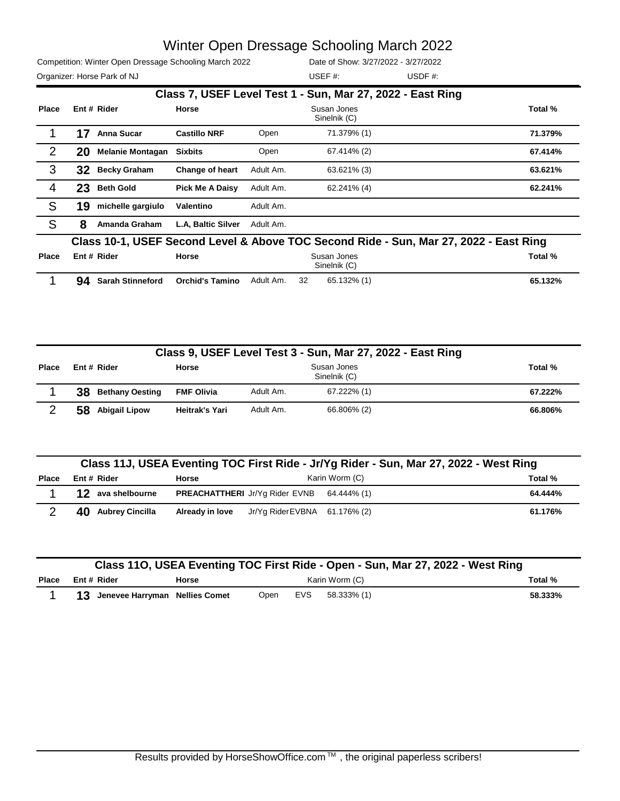Competition: Winter Open Dressage Schooling March 2022 Organizer: Horse Park of NJ and Solid Muslim and Solid USDF #: USDF #:

Date of Show: 3/27/2022 - 3/27/2022 USEF #:

|              |                                                                                       |                         |                        |           | Class 7, USEF Level Test 1 - Sun, Mar 27, 2022 - East Ring |         |  |  |  |
|--------------|---------------------------------------------------------------------------------------|-------------------------|------------------------|-----------|------------------------------------------------------------|---------|--|--|--|
| <b>Place</b> |                                                                                       | Ent # Rider             | <b>Horse</b>           |           | Total %                                                    |         |  |  |  |
|              | 17                                                                                    | <b>Anna Sucar</b>       | <b>Castillo NRF</b>    | Open      | 71.379% (1)                                                | 71.379% |  |  |  |
| 2            | 20                                                                                    | <b>Melanie Montagan</b> | <b>Sixbits</b>         | Open      | 67.414% (2)                                                | 67.414% |  |  |  |
| 3            | 32                                                                                    | <b>Becky Graham</b>     | Change of heart        | Adult Am. | 63.621% (3)                                                | 63.621% |  |  |  |
| 4            | 23                                                                                    | <b>Beth Gold</b>        | <b>Pick Me A Daisy</b> | Adult Am. | 62.241% (4)                                                | 62.241% |  |  |  |
| S            | 19                                                                                    | michelle gargiulo       | Valentino              | Adult Am. |                                                            |         |  |  |  |
| S            | 8                                                                                     | Amanda Graham           | L.A. Baltic Silver     | Adult Am. |                                                            |         |  |  |  |
|              | Class 10-1, USEF Second Level & Above TOC Second Ride - Sun, Mar 27, 2022 - East Ring |                         |                        |           |                                                            |         |  |  |  |
| <b>Place</b> |                                                                                       | Ent # Rider             | Horse                  |           | Susan Jones                                                | Total % |  |  |  |

| riace | <b>ERTH RIGHT</b>      | norse           |           |    | Susan Jones<br>Sinelnik (C) | TOTAL 70 |
|-------|------------------------|-----------------|-----------|----|-----------------------------|----------|
|       | 94<br>Sarah Stinneford | Orchid's Tamino | Adult Am. | 32 | 65.132% (1)                 | 65.132%  |

|              | Class 9, USEF Level Test 3 - Sun, Mar 27, 2022 - East Ring |                        |                   |                             |             |         |  |  |  |
|--------------|------------------------------------------------------------|------------------------|-------------------|-----------------------------|-------------|---------|--|--|--|
| <b>Place</b> | Ent # Rider                                                |                        | <b>Horse</b>      | Susan Jones<br>Sinelnik (C) |             |         |  |  |  |
|              | 38                                                         | <b>Bethany Oesting</b> | <b>FMF Olivia</b> | Adult Am.                   | 67.222% (1) | 67.222% |  |  |  |
| ⌒            | 58                                                         | <b>Abigail Lipow</b>   | Heitrak's Yari    | Adult Am.                   | 66.806% (2) | 66.806% |  |  |  |

|       | Class 11J, USEA Eventing TOC First Ride - Jr/Yg Rider - Sun, Mar 27, 2022 - West Ring |  |                                                   |  |         |  |  |  |  |
|-------|---------------------------------------------------------------------------------------|--|---------------------------------------------------|--|---------|--|--|--|--|
| Place | Karin Worm (C)<br>Ent # Rider<br><b>Horse</b>                                         |  |                                                   |  | Total % |  |  |  |  |
|       | 12 ava shelbourne                                                                     |  | <b>PREACHATTHERI</b> Jr/Yg Rider EVNB 64.444% (1) |  | 64.444% |  |  |  |  |
|       | 40.<br><b>Aubrey Cincilla</b>                                                         |  | Already in love Jr/Yg Rider EVBNA 61.176% (2)     |  | 61.176% |  |  |  |  |

|              | Class 110, USEA Eventing TOC First Ride - Open - Sun, Mar 27, 2022 - West Ring |                                   |       |      |                |             |  |         |  |
|--------------|--------------------------------------------------------------------------------|-----------------------------------|-------|------|----------------|-------------|--|---------|--|
| <b>Place</b> |                                                                                | Ent # Rider                       | Horse |      | Karin Worm (C) |             |  |         |  |
|              |                                                                                | 13 Jenevee Harryman Nellies Comet |       | Open | EVS            | 58.333% (1) |  | 58.333% |  |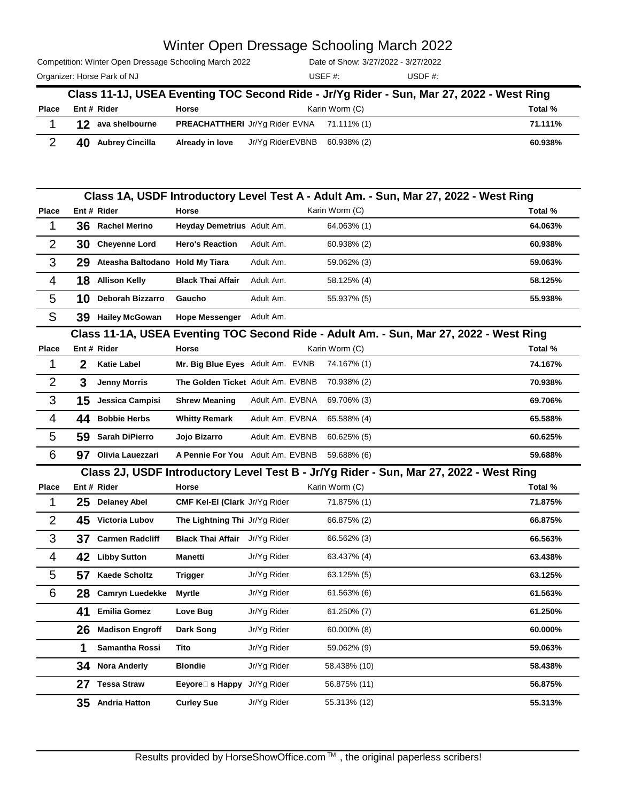Competition: Winter Open Dressage Schooling March 2022

Organizer: Horse Park of NJ and Solid Muslim and Muslim USDF #: USDF #: Date of Show: 3/27/2022 - 3/27/2022 USEF #:

|              | Class 11-1J, USEA Eventing TOC Second Ride - Jr/Yg Rider - Sun, Mar 27, 2022 - West Ring |                 |                                                   |                |         |  |  |  |  |
|--------------|------------------------------------------------------------------------------------------|-----------------|---------------------------------------------------|----------------|---------|--|--|--|--|
| <b>Place</b> | Ent # Rider                                                                              | <b>Horse</b>    |                                                   | Karin Worm (C) | Total % |  |  |  |  |
|              | 12 ava shelbourne                                                                        |                 | <b>PREACHATTHERI</b> Jr/Yq Rider EVNA 71.111% (1) |                | 71.111% |  |  |  |  |
|              | 40 Aubrey Cincilla                                                                       | Already in love | Jr/Yg RiderEVBNB                                  | 60.938% (2)    | 60.938% |  |  |  |  |

|                |              |                                 |                                                 |                 | Class 1A, USDF Introductory Level Test A - Adult Am. - Sun, Mar 27, 2022 - West Ring   |         |
|----------------|--------------|---------------------------------|-------------------------------------------------|-----------------|----------------------------------------------------------------------------------------|---------|
| Place          |              | Ent # Rider                     | Horse                                           |                 | Karin Worm (C)                                                                         | Total % |
| 1              | 36           | <b>Rachel Merino</b>            | Heyday Demetrius Adult Am.                      |                 | 64.063% (1)                                                                            | 64.063% |
| $\overline{2}$ | 30           | <b>Cheyenne Lord</b>            | <b>Hero's Reaction</b>                          | Adult Am.       | 60.938% (2)                                                                            | 60.938% |
| 3              | 29           | Ateasha Baltodano Hold My Tiara |                                                 | Adult Am.       | 59.062% (3)                                                                            | 59.063% |
| 4              | 18           | <b>Allison Kelly</b>            | <b>Black Thai Affair</b>                        | Adult Am.       | 58.125% (4)                                                                            | 58.125% |
| 5              | 10           | <b>Deborah Bizzarro</b>         | Gaucho                                          | Adult Am.       | 55.937% (5)                                                                            | 55.938% |
| S              |              | 39 Hailey McGowan               | <b>Hope Messenger</b>                           | Adult Am.       |                                                                                        |         |
|                |              |                                 |                                                 |                 | Class 11-1A, USEA Eventing TOC Second Ride - Adult Am. - Sun, Mar 27, 2022 - West Ring |         |
| Place          |              | Ent # Rider                     | Horse                                           |                 | Karin Worm (C)                                                                         | Total % |
| 1              | $\mathbf{2}$ | <b>Katie Label</b>              | Mr. Big Blue Eyes Adult Am. EVNB                |                 | 74.167% (1)                                                                            | 74.167% |
| $\overline{2}$ | 3            | <b>Jenny Morris</b>             | The Golden Ticket Adult Am. EVBNB               |                 | 70.938% (2)                                                                            | 70.938% |
| 3              | 15           | Jessica Campisi                 | <b>Shrew Meaning</b>                            | Adult Am. EVBNA | 69.706% (3)                                                                            | 69.706% |
| 4              | 44           | <b>Bobbie Herbs</b>             | <b>Whitty Remark</b>                            | Adult Am. EVBNA | 65.588% (4)                                                                            | 65.588% |
| 5              | 59           | Sarah DiPierro                  | Jojo Bizarro                                    | Adult Am. EVBNB | $60.625\%$ (5)                                                                         | 60.625% |
| 6              |              | 97 Olivia Lauezzari             | A Pennie For You Adult Am. EVBNB                |                 | 59.688% (6)                                                                            | 59.688% |
|                |              |                                 |                                                 |                 | Class 2J, USDF Introductory Level Test B - Jr/Yg Rider - Sun, Mar 27, 2022 - West Ring |         |
| Place          |              | Ent # Rider                     | Horse                                           |                 | Karin Worm (C)                                                                         | Total % |
| 1              | 25           | <b>Delaney Abel</b>             | CMF Kel-El (Clark Jr/Yg Rider                   |                 | 71.875% (1)                                                                            | 71.875% |
| 2              | 45           | Victoria Lubov                  | The Lightning Thi Jr/Yg Rider                   |                 | 66.875% (2)                                                                            | 66.875% |
| 3              | 37           | <b>Carmen Radcliff</b>          | <b>Black Thai Affair</b> Jr/Yg Rider            |                 | 66.562% (3)                                                                            | 66.563% |
| 4              | 42           | <b>Libby Sutton</b>             | Manetti                                         | Jr/Yg Rider     | 63.437% (4)                                                                            | 63.438% |
| 5              | 57           | <b>Kaede Scholtz</b>            | <b>Trigger</b>                                  | Jr/Yg Rider     | 63.125% (5)                                                                            | 63.125% |
| 6              | 28           | <b>Camryn Luedekke</b>          | <b>Myrtle</b>                                   | Jr/Yg Rider     | 61.563% (6)                                                                            | 61.563% |
|                | 41           | <b>Emilia Gomez</b>             | Love Bug                                        | Jr/Yg Rider     | 61.250% (7)                                                                            | 61.250% |
|                | 26           | <b>Madison Engroff</b>          | Dark Song                                       | Jr/Yg Rider     | 60.000% (8)                                                                            | 60.000% |
|                | 1            | Samantha Rossi                  | Tito                                            | Jr/Yg Rider     | 59.062% (9)                                                                            | 59.063% |
|                | 34           | <b>Nora Anderly</b>             | <b>Blondie</b>                                  | Jr/Yg Rider     | 58.438% (10)                                                                           | 58.438% |
|                |              | 27 Tessa Straw                  | <b>Eeyore</b> $\Box$ <b>s Happy</b> Jr/Yg Rider |                 | 56.875% (11)                                                                           | 56.875% |
|                | 35           | <b>Andria Hatton</b>            | <b>Curley Sue</b>                               | Jr/Yg Rider     | 55.313% (12)                                                                           | 55.313% |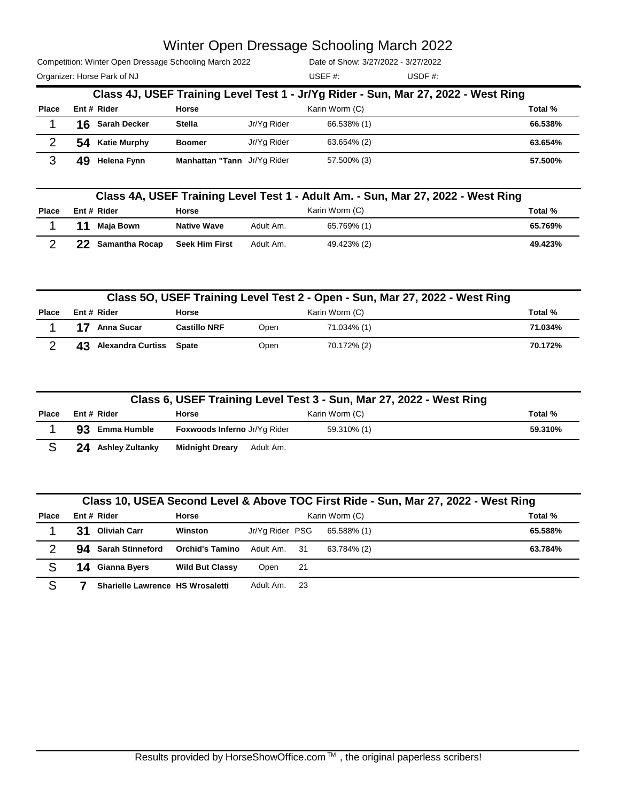Competition: Winter Open Dressage Schooling March 2022

Organizer: Horse Park of NJ and Solid Muslim and Muslim USDF #: USDF #: Date of Show: 3/27/2022 - 3/27/2022 USEF #:

|              | Class 4J, USEF Training Level Test 1 - Jr/Yg Rider - Sun, Mar 27, 2022 - West Ring |                     |                             |                           |                |         |  |  |  |  |
|--------------|------------------------------------------------------------------------------------|---------------------|-----------------------------|---------------------------|----------------|---------|--|--|--|--|
| <b>Place</b> |                                                                                    | Ent # Rider         | Horse                       | Karin Worm (C)<br>Total % |                |         |  |  |  |  |
|              |                                                                                    | 16 Sarah Decker     | <b>Stella</b>               | Jr/Yg Rider               | 66.538% (1)    | 66.538% |  |  |  |  |
|              | 54                                                                                 | <b>Katie Murphy</b> | <b>Boomer</b>               | Jr/Yg Rider               | $63.654\%$ (2) | 63.654% |  |  |  |  |
|              | 49                                                                                 | Helena Fynn         | Manhattan "Tann Jr/Yg Rider |                           | 57.500% (3)    | 57.500% |  |  |  |  |

| Class 4A, USEF Training Level Test 1 - Adult Am. - Sun, Mar 27, 2022 - West Ring |  |                   |                       |           |                |         |
|----------------------------------------------------------------------------------|--|-------------------|-----------------------|-----------|----------------|---------|
| Place                                                                            |  | Ent # Rider       | <b>Horse</b>          |           | Karin Worm (C) | Total % |
|                                                                                  |  | Maia Bown         | <b>Native Wave</b>    | Adult Am. | 65.769% (1)    | 65.769% |
|                                                                                  |  | 22 Samantha Rocap | <b>Seek Him First</b> | Adult Am. | 49.423% (2)    | 49.423% |

| Class 50, USEF Training Level Test 2 - Open - Sun, Mar 27, 2022 - West Ring |                            |                     |      |                |         |  |
|-----------------------------------------------------------------------------|----------------------------|---------------------|------|----------------|---------|--|
| Place                                                                       | Ent#Rider                  | <b>Horse</b>        |      | Karin Worm (C) | Total % |  |
|                                                                             | Anna Sucar                 | <b>Castillo NRF</b> | Open | 71.034% (1)    | 71.034% |  |
|                                                                             | 43 Alexandra Curtiss Spate |                     | Open | 70.172% (2)    | 70.172% |  |

|              | Class 6, USEF Training Level Test 3 - Sun, Mar 27, 2022 - West Ring |                                     |                |         |  |  |  |
|--------------|---------------------------------------------------------------------|-------------------------------------|----------------|---------|--|--|--|
| <b>Place</b> | Ent # Rider                                                         | Horse                               | Karin Worm (C) | Total % |  |  |  |
|              | 93 Emma Humble                                                      | <b>Foxwoods Inferno Jr/Yg Rider</b> | 59.310% (1)    | 59.310% |  |  |  |
|              | 24 Ashley Zultanky                                                  | <b>Midnight Dreary</b><br>Adult Am. |                |         |  |  |  |

| Class 10, USEA Second Level & Above TOC First Ride - Sun, Mar 27, 2022 - West Ring |    |                                  |                        |                 |     |                |         |
|------------------------------------------------------------------------------------|----|----------------------------------|------------------------|-----------------|-----|----------------|---------|
| <b>Place</b>                                                                       |    | Ent # Rider                      | Horse                  |                 |     | Karin Worm (C) | Total % |
|                                                                                    | 31 | <b>Oliviah Carr</b>              | Winston                | Jr/Yg Rider PSG |     | 65.588% (1)    | 65.588% |
| 2                                                                                  |    | 94 Sarah Stinneford              | <b>Orchid's Tamino</b> | Adult Am. 31    |     | 63.784% (2)    | 63.784% |
| S                                                                                  |    | <b>14</b> Gianna Byers           | <b>Wild But Classy</b> | Open            | -21 |                |         |
| S                                                                                  |    | Sharielle Lawrence HS Wrosaletti |                        | Adult Am.       | -23 |                |         |